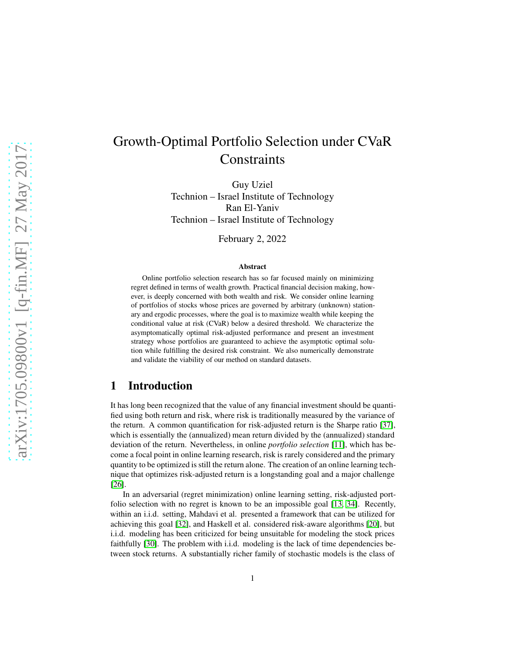# Growth-Optimal Portfolio Selection under CVaR **Constraints**

Guy Uziel Technion – Israel Institute of Technology Ran El-Yaniv Technion – Israel Institute of Technology

February 2, 2022

#### Abstract

Online portfolio selection research has so far focused mainly on minimizing regret defined in terms of wealth growth. Practical financial decision making, however, is deeply concerned with both wealth and risk. We consider online learning of portfolios of stocks whose prices are governed by arbitrary (unknown) stationary and ergodic processes, where the goal is to maximize wealth while keeping the conditional value at risk (CVaR) below a desired threshold. We characterize the asymptomatically optimal risk-adjusted performance and present an investment strategy whose portfolios are guaranteed to achieve the asymptotic optimal solution while fulfilling the desired risk constraint. We also numerically demonstrate and validate the viability of our method on standard datasets.

### 1 Introduction

It has long been recognized that the value of any financial investment should be quantified using both return and risk, where risk is traditionally measured by the variance of the return. A common quantification for risk-adjusted return is the Sharpe ratio [\[37\]](#page-13-0), which is essentially the (annualized) mean return divided by the (annualized) standard deviation of the return. Nevertheless, in online *portfolio selection* [\[11\]](#page-11-0), which has become a focal point in online learning research, risk is rarely considered and the primary quantity to be optimized is still the return alone. The creation of an online learning technique that optimizes risk-adjusted return is a longstanding goal and a major challenge [\[26\]](#page-12-0).

In an adversarial (regret minimization) online learning setting, risk-adjusted portfolio selection with no regret is known to be an impossible goal [\[13,](#page-11-1) [34\]](#page-13-1). Recently, within an i.i.d. setting, Mahdavi et al. presented a framework that can be utilized for achieving this goal [\[32\]](#page-13-2), and Haskell et al. considered risk-aware algorithms [\[20\]](#page-12-1), but i.i.d. modeling has been criticized for being unsuitable for modeling the stock prices faithfully [\[30\]](#page-12-2). The problem with i.i.d. modeling is the lack of time dependencies between stock returns. A substantially richer family of stochastic models is the class of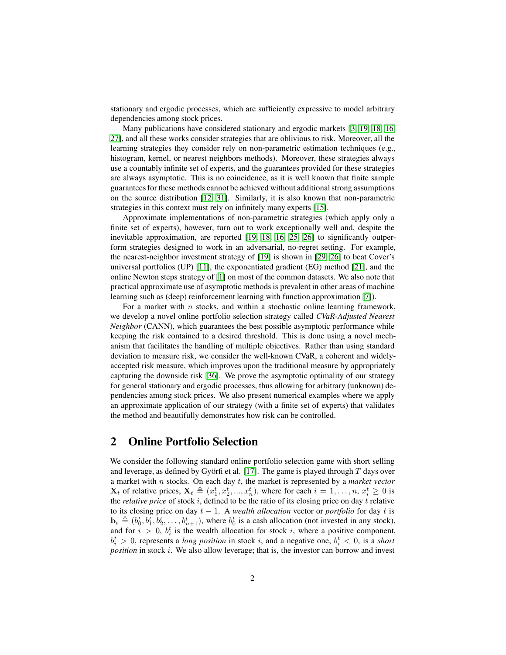stationary and ergodic processes, which are sufficiently expressive to model arbitrary dependencies among stock prices.

Many publications have considered stationary and ergodic markets [\[3,](#page-11-2) [19,](#page-12-3) [18,](#page-12-4) [16,](#page-11-3) [27\]](#page-12-5), and all these works consider strategies that are oblivious to risk. Moreover, all the learning strategies they consider rely on non-parametric estimation techniques (e.g., histogram, kernel, or nearest neighbors methods). Moreover, these strategies always use a countably infinite set of experts, and the guarantees provided for these strategies are always asymptotic. This is no coincidence, as it is well known that finite sample guarantees for these methods cannot be achieved without additional strong assumptions on the source distribution [\[12,](#page-11-4) [31\]](#page-12-6). Similarly, it is also known that non-parametric strategies in this context must rely on infinitely many experts [\[15\]](#page-11-5).

Approximate implementations of non-parametric strategies (which apply only a finite set of experts), however, turn out to work exceptionally well and, despite the inevitable approximation, are reported [\[19,](#page-12-3) [18,](#page-12-4) [16,](#page-11-3) [25,](#page-12-7) [26\]](#page-12-0) to significantly outperform strategies designed to work in an adversarial, no-regret setting. For example, the nearest-neighbor investment strategy of [\[19\]](#page-12-3) is shown in [\[29,](#page-12-8) [26\]](#page-12-0) to beat Cover's universal portfolios (UP) [\[11\]](#page-11-0), the exponentiated gradient (EG) method [\[21\]](#page-12-9), and the online Newton steps strategy of [\[1\]](#page-11-6) on most of the common datasets. We also note that practical approximate use of asymptotic methods is prevalent in other areas of machine learning such as (deep) reinforcement learning with function approximation [\[7\]](#page-11-7)).

For a market with  $n$  stocks, and within a stochastic online learning framework, we develop a novel online portfolio selection strategy called *CVaR-Adjusted Nearest Neighbor* (CANN), which guarantees the best possible asymptotic performance while keeping the risk contained to a desired threshold. This is done using a novel mechanism that facilitates the handling of multiple objectives. Rather than using standard deviation to measure risk, we consider the well-known CVaR, a coherent and widelyaccepted risk measure, which improves upon the traditional measure by appropriately capturing the downside risk [\[36\]](#page-13-3). We prove the asymptotic optimality of our strategy for general stationary and ergodic processes, thus allowing for arbitrary (unknown) dependencies among stock prices. We also present numerical examples where we apply an approximate application of our strategy (with a finite set of experts) that validates the method and beautifully demonstrates how risk can be controlled.

### 2 Online Portfolio Selection

We consider the following standard online portfolio selection game with short selling and leverage, as defined by Györfi et al. [\[17\]](#page-12-10). The game is played through  $T$  days over a market with n stocks. On each day t, the market is represented by a *market vector*  $\mathbf{X}_t$  of relative prices,  $\mathbf{X}_t \triangleq (x_1^t, x_2^t, ..., x_n^t)$ , where for each  $i = 1, ..., n$ ,  $x_i^t \geq 0$  is the *relative price* of stock i, defined to be the ratio of its closing price on day t relative to its closing price on day  $t - 1$ . A *wealth allocation* vector or *portfolio* for day t is  $\mathbf{b}_t \triangleq (b_0^t, b_1^t, b_2^t, \dots, b_{n+1}^t)$ , where  $b_0^t$  is a cash allocation (not invested in any stock), and for  $i > 0$ ,  $b_i^t$  is the wealth allocation for stock i, where a positive component,  $b_i^t > 0$ , represents a *long position* in stock *i*, and a negative one,  $b_i^t < 0$ , is a *short position* in stock *i*. We also allow leverage; that is, the investor can borrow and invest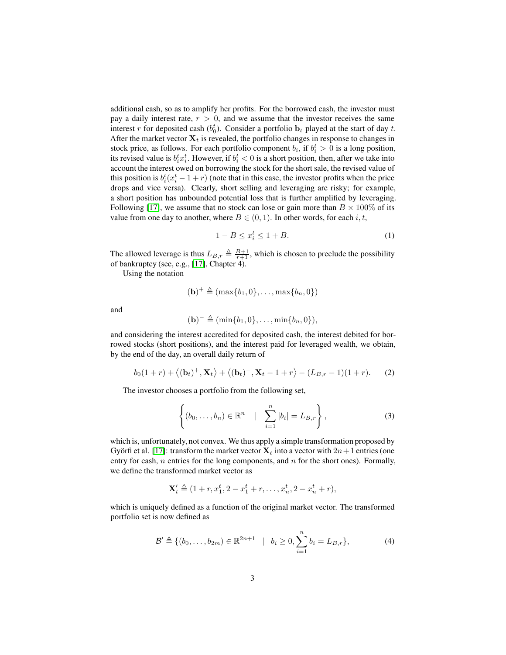additional cash, so as to amplify her profits. For the borrowed cash, the investor must pay a daily interest rate,  $r > 0$ , and we assume that the investor receives the same interest r for deposited cash  $(b_0^t)$ . Consider a portfolio  $b_t$  played at the start of day t. After the market vector  $X_t$  is revealed, the portfolio changes in response to changes in stock price, as follows. For each portfolio component  $b_i$ , if  $b_i^t > 0$  is a long position, its revised value is  $b_i^t x_i^t$ . However, if  $b_i^t < 0$  is a short position, then, after we take into account the interest owed on borrowing the stock for the short sale, the revised value of this position is  $b_i^t(x_i^t - 1 + r)$  (note that in this case, the investor profits when the price drops and vice versa). Clearly, short selling and leveraging are risky; for example, a short position has unbounded potential loss that is further amplified by leveraging. Following [\[17\]](#page-12-10), we assume that no stock can lose or gain more than  $B \times 100\%$  of its value from one day to another, where  $B \in (0, 1)$ . In other words, for each i, t,

<span id="page-2-0"></span>
$$
1 - B \le x_i^t \le 1 + B. \tag{1}
$$

The allowed leverage is thus  $L_{B,r} \triangleq \frac{B+1}{r+1}$ , which is chosen to preclude the possibility of bankruptcy (see, e.g., [\[17\]](#page-12-10), Chapter 4).

Using the notation

$$
(\mathbf{b})^+\triangleq(\max\{b_1,0\},\ldots,\max\{b_n,0\})
$$

and

$$
(\mathbf{b})^{-} \triangleq (\min\{b_1, 0\}, \ldots, \min\{b_n, 0\}),
$$

and considering the interest accredited for deposited cash, the interest debited for borrowed stocks (short positions), and the interest paid for leveraged wealth, we obtain, by the end of the day, an overall daily return of

$$
b_0(1+r) + \langle (\mathbf{b}_t)^+, \mathbf{X}_t \rangle + \langle (\mathbf{b}_t)^-, \mathbf{X}_t - 1 + r \rangle - (L_{B,r} - 1)(1+r).
$$
 (2)

The investor chooses a portfolio from the following set,

$$
\left\{ (b_0,\ldots,b_n) \in \mathbb{R}^n \quad | \quad \sum_{i=1}^n |b_i| = L_{B,r} \right\},\tag{3}
$$

which is, unfortunately, not convex. We thus apply a simple transformation proposed by Györfi et al. [\[17\]](#page-12-10): transform the market vector  $X_t$  into a vector with  $2n+1$  entries (one entry for cash,  $n$  entries for the long components, and  $n$  for the short ones). Formally, we define the transformed market vector as

$$
\mathbf{X}'_t \triangleq (1+r, x_1^t, 2-x_1^t + r, \dots, x_n^t, 2-x_n^t + r),
$$

which is uniquely defined as a function of the original market vector. The transformed portfolio set is now defined as

$$
\mathcal{B}' \triangleq \{ (b_0, \dots, b_{2m}) \in \mathbb{R}^{2n+1} \mid b_i \ge 0, \sum_{i=1}^n b_i = L_{B,r} \},
$$
 (4)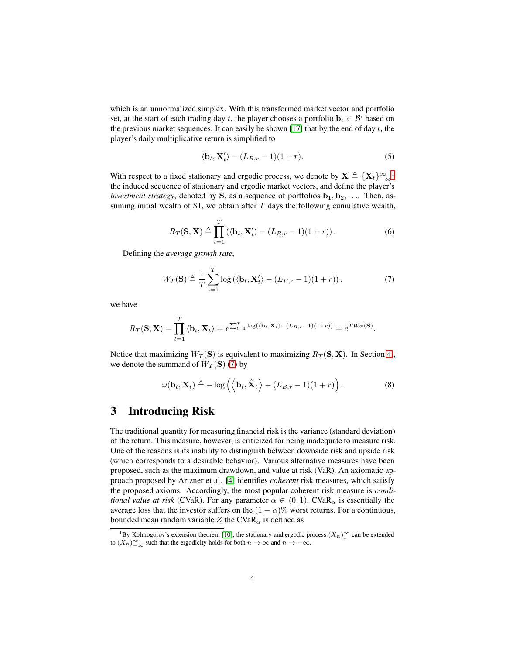which is an unnormalized simplex. With this transformed market vector and portfolio set, at the start of each trading day t, the player chooses a portfolio  $\mathbf{b}_t \in \mathcal{B}'$  based on the previous market sequences. It can easily be shown [\[17\]](#page-12-10) that by the end of day  $t$ , the player's daily multiplicative return is simplified to

$$
\langle \mathbf{b}_t, \mathbf{X}_t' \rangle - (L_{B,r} - 1)(1+r). \tag{5}
$$

With respect to a fixed stationary and ergodic process, we denote by  $X \triangleq \{X_t\}_{-\infty}^{\infty}$ the induced sequence of stationary and ergodic market vectors, and define the player's *investment strategy*, denoted by S, as a sequence of portfolios  $\mathbf{b}_1, \mathbf{b}_2, \ldots$  Then, assuming initial wealth of \$1, we obtain after  $T$  days the following cumulative wealth,

<span id="page-3-1"></span>
$$
R_T(\mathbf{S}, \mathbf{X}) \triangleq \prod_{t=1}^T \left( \langle \mathbf{b}_t, \mathbf{X}'_t \rangle - (L_{B,r} - 1)(1+r) \right). \tag{6}
$$

Defining the *average growth rate*,

$$
W_T(\mathbf{S}) \triangleq \frac{1}{T} \sum_{t=1}^T \log \left( \langle \mathbf{b}_t, \mathbf{X}'_t \rangle - (L_{B,r} - 1)(1+r) \right),\tag{7}
$$

we have

$$
R_T(\mathbf{S}, \mathbf{X}) = \prod_{t=1}^T \langle \mathbf{b}_t, \mathbf{X}_t \rangle = e^{\sum_{t=1}^T \log(\langle \mathbf{b}_t, \mathbf{X}_t \rangle - (L_{B,r} - 1)(1+r))} = e^{T W_T(\mathbf{S})}.
$$

Notice that maximizing  $W_T(S)$  is equivalent to maximizing  $R_T(S, X)$ . In Section [4](#page-4-0), we denote the summand of  $W_T(S)$  [\(7\)](#page-3-1) by

$$
\omega(\mathbf{b}_t, \mathbf{X}_t) \triangleq -\log\left(\left\langle \mathbf{b}_t, \hat{\mathbf{X}}_t \right\rangle - (L_{B,r} - 1)(1+r)\right). \tag{8}
$$

### 3 Introducing Risk

The traditional quantity for measuring financial risk is the variance (standard deviation) of the return. This measure, however, is criticized for being inadequate to measure risk. One of the reasons is its inability to distinguish between downside risk and upside risk (which corresponds to a desirable behavior). Various alternative measures have been proposed, such as the maximum drawdown, and value at risk (VaR). An axiomatic approach proposed by Artzner et al. [\[4\]](#page-11-8) identifies *coherent* risk measures, which satisfy the proposed axioms. Accordingly, the most popular coherent risk measure is *conditional value at risk* (CVaR). For any parameter  $\alpha \in (0,1)$ , CVaR<sub> $\alpha$ </sub> is essentially the average loss that the investor suffers on the  $(1 - \alpha)$ % worst returns. For a continuous, bounded mean random variable Z the CVaR<sub> $\alpha$ </sub> is defined as

<span id="page-3-0"></span><sup>&</sup>lt;sup>1</sup>By Kolmogorov's extension theorem [\[10\]](#page-11-9), the stationary and ergodic process  $(X_n)_1^{\infty}$  can be extended to  $(X_n)_{-\infty}^{\infty}$  such that the ergodicity holds for both  $n \to \infty$  and  $n \to -\infty$ .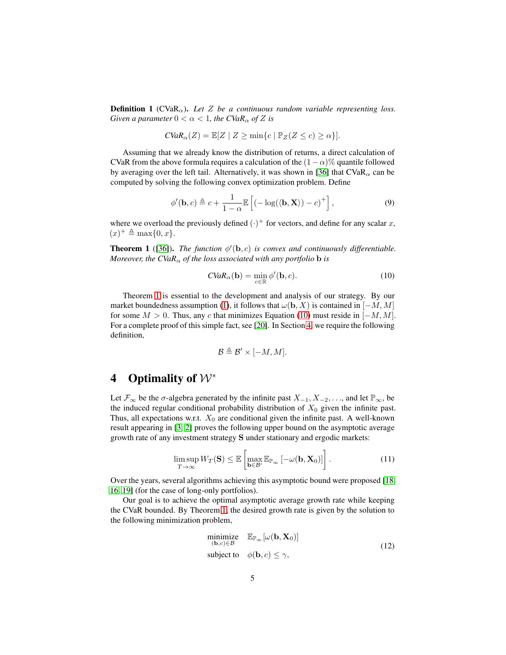**Definition 1** (CVaR<sub> $\alpha$ </sub>). Let Z be a continuous random variable representing loss. *Given a parameter*  $0 < \alpha < 1$ *, the CVaR*<sub> $\alpha$ </sub> *of Z is* 

$$
CVaR_{\alpha}(Z) = \mathbb{E}[Z \mid Z \ge \min\{c \mid \mathbb{P}_Z(Z \le c) \ge \alpha\}].
$$

Assuming that we already know the distribution of returns, a direct calculation of CVaR from the above formula requires a calculation of the  $(1-\alpha)$ % quantile followed by averaging over the left tail. Alternatively, it was shown in [\[36\]](#page-13-3) that  $CVaR_{\alpha}$  can be computed by solving the following convex optimization problem. Define

$$
\phi'(\mathbf{b}, c) \triangleq c + \frac{1}{1 - \alpha} \mathbb{E}\left[ (-\log(\langle \mathbf{b}, \mathbf{X} \rangle) - c)^{+} \right],\tag{9}
$$

where we overload the previously defined  $(\cdot)^+$  for vectors, and define for any scalar x,  $(x)^{+} \triangleq \max\{0, x\}.$ 

<span id="page-4-1"></span>**Theorem 1** ([\[36\]](#page-13-3)). *The function*  $\phi'(\mathbf{b}, c)$  *is convex and continuously differentiable. Moreover, the CVaR*<sub> $\alpha$ </sub> *of the loss associated with any portfolio* **b** *is* 

<span id="page-4-2"></span>
$$
CVaR_{\alpha}(\mathbf{b}) = \min_{c \in \mathbb{R}} \phi'(\mathbf{b}, c).
$$
 (10)

Theorem [1](#page-4-1) is essential to the development and analysis of our strategy. By our market boundedness assumption [\(1\)](#page-2-0), it follows that  $\omega(\mathbf{b}, X)$  is contained in  $[-M, M]$ for some  $M > 0$ . Thus, any c that minimizes Equation [\(10\)](#page-4-2) must reside in [−M, M]. For a complete proof of this simple fact, see [\[20\]](#page-12-1). In Section [4,](#page-4-0) we require the following definition,

$$
\mathcal{B} \triangleq \mathcal{B}' \times [-M, M].
$$

### <span id="page-4-0"></span>4 Optimality of  $W^*$

Let  $\mathcal{F}_{\infty}$  be the  $\sigma$ -algebra generated by the infinite past  $X_{-1}, X_{-2}, \ldots$ , and let  $\mathbb{P}_{\infty}$ , be the induced regular conditional probability distribution of  $X_0$  given the infinite past. Thus, all expectations w.r.t.  $X_0$  are conditional given the infinite past. A well-known result appearing in [\[3,](#page-11-2) [2\]](#page-11-10) proves the following upper bound on the asymptotic average growth rate of any investment strategy S under stationary and ergodic markets:

$$
\limsup_{T \to \infty} W_T(\mathbf{S}) \leq \mathbb{E} \left[ \max_{\mathbf{b} \in \mathcal{B}'} \mathbb{E}_{\mathbb{P}_{\infty}} \left[ -\omega(\mathbf{b}, \mathbf{X}_0) \right] \right]. \tag{11}
$$

Over the years, several algorithms achieving this asymptotic bound were proposed [\[18,](#page-12-4) [16,](#page-11-3) [19\]](#page-12-3) (for the case of long-only portfolios).

Our goal is to achieve the optimal asymptotic average growth rate while keeping the CVaR bounded. By Theorem [1,](#page-4-1) the desired growth rate is given by the solution to the following minimization problem,

<span id="page-4-3"></span>
$$
\begin{array}{ll}\n\text{minimize} & \mathbb{E}_{\mathbb{P}_{\infty}}[\omega(\mathbf{b}, \mathbf{X}_0)] \\
\text{subject to} & \phi(\mathbf{b}, c) \leq \gamma,\n\end{array} \tag{12}
$$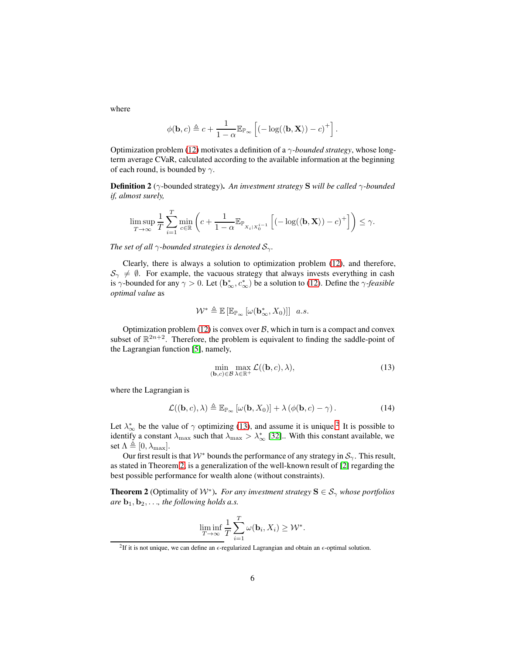where

$$
\phi(\mathbf{b},c) \triangleq c + \frac{1}{1-\alpha} \mathbb{E}_{\mathbb{P}_{\infty}} \left[ (-\log(\langle \mathbf{b}, \mathbf{X} \rangle) - c)^{+} \right].
$$

Optimization problem [\(12\)](#page-4-3) motivates a definition of a γ*-bounded strategy*, whose longterm average CVaR, calculated according to the available information at the beginning of each round, is bounded by  $\gamma$ .

Definition 2 (γ-bounded strategy). *An investment strategy* S *will be called* γ*-bounded if, almost surely,*

$$
\limsup_{T\to\infty}\frac{1}{T}\sum_{i=1}^T\min_{c\in\mathbb{R}}\left(c+\frac{1}{1-\alpha}\mathbb{E}_{\mathbb{P}_{X_i|X_0^{i-1}}}\left[\left(-\log(\langle\mathbf{b},\mathbf{X}\rangle)-c\right)^+\right]\right)\leq\gamma.
$$

*The set of all*  $\gamma$ *-bounded strategies is denoted*  $S_{\gamma}$ *.* 

Clearly, there is always a solution to optimization problem [\(12\)](#page-4-3), and therefore,  $\mathcal{S}_{\gamma} \neq \emptyset$ . For example, the vacuous strategy that always invests everything in cash is  $\gamma$ -bounded for any  $\gamma > 0$ . Let  $(\mathbf{b}^*, c^*_\infty)$  be a solution to [\(12\)](#page-4-3). Define the  $\gamma$ -*feasible optimal value* as

$$
\mathcal{W}^* \triangleq \mathbb{E}\left[\mathbb{E}_{\mathbb{P}_{\infty}}\left[\omega(\mathbf{b}^*_{\infty}, X_0)\right]\right] \ a.s.
$$

Optimization problem [\(12\)](#page-4-3) is convex over  $\beta$ , which in turn is a compact and convex subset of  $\mathbb{R}^{2n+2}$ . Therefore, the problem is equivalent to finding the saddle-point of the Lagrangian function [\[5\]](#page-11-11), namely,

<span id="page-5-3"></span><span id="page-5-0"></span>
$$
\min_{(\mathbf{b},c)\in\mathcal{B}} \max_{\lambda\in\mathbb{R}^+} \mathcal{L}((\mathbf{b},c),\lambda),\tag{13}
$$

where the Lagrangian is

$$
\mathcal{L}((\mathbf{b},c),\lambda) \triangleq \mathbb{E}_{\mathbb{P}_{\infty}}\left[\omega(\mathbf{b},X_0)\right] + \lambda \left(\phi(\mathbf{b},c) - \gamma\right). \tag{14}
$$

Let  $\lambda_{\infty}^{*}$  be the value of  $\gamma$  optimizing [\(13\)](#page-5-0), and assume it is unique.<sup>[2](#page-5-1)</sup> It is possible to identify a constant  $\lambda_{\max}$  such that  $\lambda_{\max} > \lambda_{\infty}^*$  [\[32\]](#page-13-2). With this constant available, we set  $\Lambda \triangleq [0, \lambda_{\text{max}}].$ 

Our first result is that  $W^*$  bounds the performance of any strategy in  $S_\gamma$ . This result, as stated in Theorem [2,](#page-5-2) is a generalization of the well-known result of [\[2\]](#page-11-10) regarding the best possible performance for wealth alone (without constraints).

<span id="page-5-2"></span>**Theorem 2** (Optimality of  $W^*$ ). *For any investment strategy*  $S \in S_\gamma$  *whose portfolios are*  $\mathbf{b}_1, \mathbf{b}_2, \ldots$ *, the following holds a.s.* 

$$
\liminf_{T \to \infty} \frac{1}{T} \sum_{i=1}^T \omega(\mathbf{b}_i, X_i) \geq \mathcal{W}^*.
$$

<span id="page-5-1"></span><sup>&</sup>lt;sup>2</sup>If it is not unique, we can define an  $\epsilon$ -regularized Lagrangian and obtain an  $\epsilon$ -optimal solution.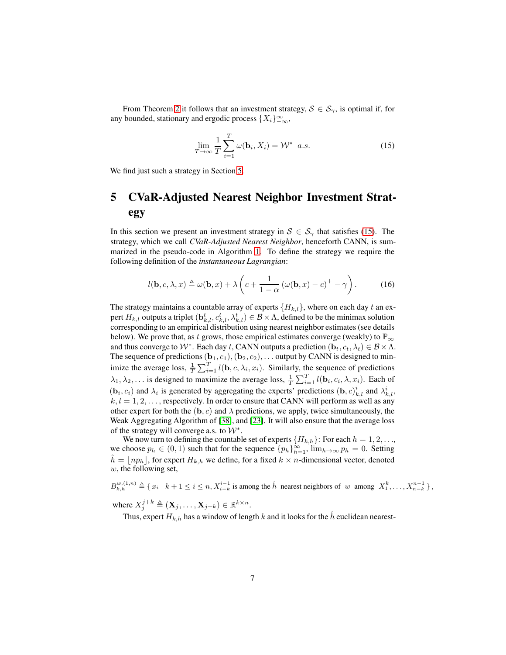From Theorem [2](#page-5-2) it follows that an investment strategy,  $S \in S_{\gamma}$ , is optimal if, for any bounded, stationary and ergodic process  $\{X_i\}_{-\infty}^{\infty}$ ,

<span id="page-6-1"></span>
$$
\lim_{T \to \infty} \frac{1}{T} \sum_{i=1}^{T} \omega(\mathbf{b}_i, X_i) = \mathcal{W}^* \ a.s.
$$
 (15)

<span id="page-6-0"></span>We find just such a strategy in Section [5.](#page-6-0)

## 5 CVaR-Adjusted Nearest Neighbor Investment Strategy

In this section we present an investment strategy in  $S \in S_{\gamma}$  that satisfies [\(15\)](#page-6-1). The strategy, which we call *CVaR-Adjusted Nearest Neighbor*, henceforth CANN, is summarized in the pseudo-code in Algorithm [1.](#page-7-0) To define the strategy we require the following definition of the *instantaneous Lagrangian*:

$$
l(\mathbf{b}, c, \lambda, x) \triangleq \omega(\mathbf{b}, x) + \lambda \left( c + \frac{1}{1 - \alpha} \left( \omega(\mathbf{b}, x) - c \right)^{+} - \gamma \right). \tag{16}
$$

The strategy maintains a countable array of experts  $\{H_{k,l}\}$ , where on each day t an expert  $H_{k,l}$  outputs a triplet  $(\mathbf{b}^t_{k,l}, c^t_{k,l}, \lambda^t_{k,l}) \in \mathcal{B} \times \Lambda$ , defined to be the minimax solution corresponding to an empirical distribution using nearest neighbor estimates (see details below). We prove that, as t grows, those empirical estimates converge (weakly) to  $\mathbb{P}_{\infty}$ and thus converge to  $W^*$ . Each day t, CANN outputs a prediction  $(\mathbf{b}_t, c_t, \lambda_t) \in \mathcal{B} \times \Lambda$ . The sequence of predictions  $(b_1, c_1), (b_2, c_2), \ldots$  output by CANN is designed to minimize the average loss,  $\frac{1}{T} \sum_{i=1}^{T} l(\mathbf{b}, c, \lambda_i, x_i)$ . Similarly, the sequence of predictions  $\lambda_1, \lambda_2, \ldots$  is designed to maximize the average loss,  $\frac{1}{T} \sum_{i=1}^T l(\mathbf{b}_i, c_i, \lambda, x_i)$ . Each of  $(b_i, c_i)$  and  $\lambda_i$  is generated by aggregating the experts' predictions  $(b, c)_{k,l}^i$  and  $\lambda_{k,l}^i$ ,  $k, l = 1, 2, \ldots$ , respectively. In order to ensure that CANN will perform as well as any other expert for both the  $(b, c)$  and  $\lambda$  predictions, we apply, twice simultaneously, the Weak Aggregating Algorithm of [\[38\]](#page-13-4), and [\[23\]](#page-12-11). It will also ensure that the average loss of the strategy will converge a.s. to  $W^*$ .

We now turn to defining the countable set of experts  $\{H_{k,h}\}\$ : For each  $h = 1, 2, \ldots$ , we choose  $p_h \in (0,1)$  such that for the sequence  $\{p_h\}_{h=1}^{\infty}$ ,  $\lim_{h\to\infty} p_h = 0$ . Setting  $h = |np_h|$ , for expert  $H_{k,h}$  we define, for a fixed  $k \times n$ -dimensional vector, denoted w, the following set,

 $B_{k,h}^{w,(1,n)} \triangleq \{x_i \mid k+1 \leq i \leq n, X_{i-k}^{i-1} \text{ is among the } \hat{h} \text{ nearest neighbors of } w \text{ among } X_1^k, \ldots, X_{n-k}^{n-1} \},$ where  $X_j^{j+k} \triangleq (\mathbf{X}_j, \dots, \mathbf{X}_{j+k}) \in \mathbb{R}^{k \times n}$ .

Thus, expert  $H_{k,h}$  has a window of length k and it looks for the h euclidean nearest-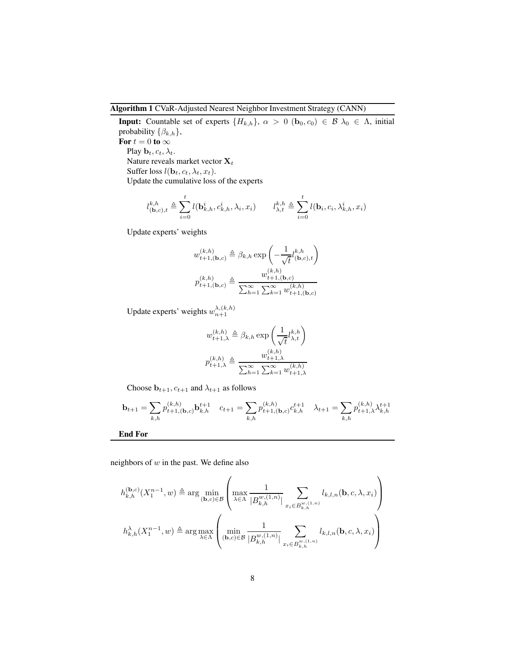<span id="page-7-0"></span>Algorithm 1 CVaR-Adjusted Nearest Neighbor Investment Strategy (CANN)

**Input:** Countable set of experts  ${H_{k,h}}$ ,  $\alpha > 0$  ( $\mathbf{b}_0, c_0$ )  $\in \mathcal{B}$   $\lambda_0 \in \Lambda$ , initial probability  $\{\beta_{k,h}\},\$ For  $t = 0$  to  $\infty$ Play  $\mathbf{b}_t, c_t, \lambda_t$ . Nature reveals market vector  $\mathbf{X}_t$ Suffer loss  $l(\mathbf{b}_t, c_t, \lambda_t, x_t)$ . Update the cumulative loss of the experts

$$
l_{(\mathbf{b},c),t}^{k,h} \triangleq \sum_{i=0}^{t} l(\mathbf{b}_{k,h}^i, c_{k,h}^i, \lambda_i, x_i) \qquad l_{\lambda,t}^{k,h} \triangleq \sum_{i=0}^{t} l(\mathbf{b}_i, c_i, \lambda_{k,h}^i, x_i)
$$

Update experts' weights

$$
\begin{split} w_{t+1,(\mathbf{b},c)}^{(k,h)} \triangleq \beta_{k,h} \exp\left(-\frac{1}{\sqrt{t}}l_{(\mathbf{b},c),t}^{k,h}\right) \\ p_{t+1,(\mathbf{b},c)}^{(k,h)} \triangleq \frac{w_{t+1,(\mathbf{b},c)}^{(k,h)}}{\sum_{h=1}^{\infty}\sum_{k=1}^{\infty}w_{t+1,(\mathbf{b},c)}^{(k,h)}} \end{split}
$$

Update experts' weights  $w_{n+1}^{\lambda,(k,h)}$ 

$$
w_{t+1,\lambda}^{(k,h)} \triangleq \beta_{k,h} \exp\left(\frac{1}{\sqrt{t}} l_{\lambda,t}^{k,h}\right)
$$

$$
p_{t+1,\lambda}^{(k,h)} \triangleq \frac{w_{t+1,\lambda}^{(k,h)}}{\sum_{h=1}^{\infty} \sum_{k=1}^{\infty} w_{t+1,\lambda}^{(k,h)}}
$$

Choose  $\mathbf{b}_{t+1}, c_{t+1}$  and  $\lambda_{t+1}$  as follows

$$
\mathbf{b}_{t+1} = \sum_{k,h} p_{t+1,(\mathbf{b},c)}^{(k,h)} \mathbf{b}_{k,h}^{t+1} \quad c_{t+1} = \sum_{k,h} p_{t+1,(\mathbf{b},c)}^{(k,h)} c_{k,h}^{t+1} \quad \lambda_{t+1} = \sum_{k,h} p_{t+1,\lambda}^{(k,h)} \lambda_{k,h}^{t+1}
$$

End For

neighbors of  $w$  in the past. We define also

$$
h_{k,h}^{(\mathbf{b},c)}(X_1^{n-1},w) \triangleq \arg\min_{(\mathbf{b},c)\in\mathcal{B}}\left(\max_{\lambda\in\Lambda}\frac{1}{|B_{k,h}^{w,(1,n)}|}\sum_{x_i\in B_{k,h}^{w,(1,n)}}l_{k,l,n}(\mathbf{b},c,\lambda,x_i)\right)
$$

$$
h_{k,h}^{\lambda}(X_1^{n-1},w) \triangleq \arg\max_{\lambda\in\Lambda}\left(\min_{(\mathbf{b},c)\in\mathcal{B}}\frac{1}{|B_{k,h}^{w,(1,n)}|}\sum_{x_i\in B_{k,h}^{w,(1,n)}}l_{k,l,n}(\mathbf{b},c,\lambda,x_i)\right)
$$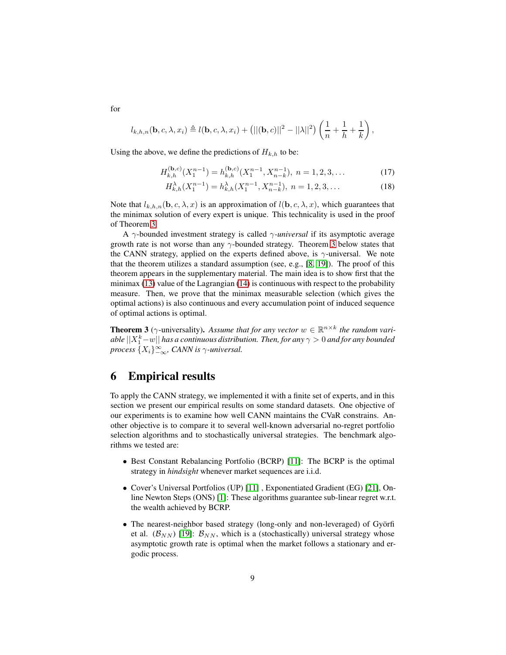$$
l_{k,h,n}(\mathbf{b},c,\lambda,x_i) \triangleq l(\mathbf{b},c,\lambda,x_i) + (||(\mathbf{b},c)||^2 - ||\lambda||^2) \left(\frac{1}{n} + \frac{1}{h} + \frac{1}{k}\right),
$$

Using the above, we define the predictions of  $H_{k,h}$  to be:

$$
H_{k,h}^{(\mathbf{b},c)}(X_1^{n-1}) = h_{k,h}^{(\mathbf{b},c)}(X_1^{n-1}, X_{n-k}^{n-1}), \ n = 1, 2, 3, \dots
$$
 (17)

$$
H_{k,h}^{\lambda}(X_1^{n-1}) = h_{k,h}^{\lambda}(X_1^{n-1}, X_{n-k}^{n-1}), \ n = 1, 2, 3, \dots
$$
 (18)

Note that  $l_{k,h,n}(\mathbf{b}, c, \lambda, x)$  is an approximation of  $l(\mathbf{b}, c, \lambda, x)$ , which guarantees that the minimax solution of every expert is unique. This technicality is used in the proof of Theorem [3.](#page-8-0)

A γ-bounded investment strategy is called γ*-universal* if its asymptotic average growth rate is not worse than any  $\gamma$ -bounded strategy. Theorem [3](#page-8-0) below states that the CANN strategy, applied on the experts defined above, is  $\gamma$ -universal. We note that the theorem utilizes a standard assumption (see, e.g., [\[8,](#page-11-12) [19\]](#page-12-3)). The proof of this theorem appears in the supplementary material. The main idea is to show first that the minimax [\(13\)](#page-5-0) value of the Lagrangian [\(14\)](#page-5-3) is continuous with respect to the probability measure. Then, we prove that the minimax measurable selection (which gives the optimal actions) is also continuous and every accumulation point of induced sequence of optimal actions is optimal.

<span id="page-8-0"></span>**Theorem 3** ( $\gamma$ -universality). Assume that for any vector  $w \in \mathbb{R}^{n \times k}$  the random variable  $||X_1^k - w||$  has a continuous distribution. Then, for any  $\gamma > 0$  and for any bounded *process* {Xi}<sup>∞</sup> −∞*, CANN is* γ*-universal.*

### 6 Empirical results

To apply the CANN strategy, we implemented it with a finite set of experts, and in this section we present our empirical results on some standard datasets. One objective of our experiments is to examine how well CANN maintains the CVaR constrains. Another objective is to compare it to several well-known adversarial no-regret portfolio selection algorithms and to stochastically universal strategies. The benchmark algorithms we tested are:

- Best Constant Rebalancing Portfolio (BCRP) [\[11\]](#page-11-0): The BCRP is the optimal strategy in *hindsight* whenever market sequences are i.i.d.
- Cover's Universal Portfolios (UP) [\[11\]](#page-11-0) , Exponentiated Gradient (EG) [\[21\]](#page-12-9), Online Newton Steps (ONS) [\[1\]](#page-11-6): These algorithms guarantee sub-linear regret w.r.t. the wealth achieved by BCRP.
- The nearest-neighbor based strategy (long-only and non-leveraged) of Györfi et al.  $(\mathcal{B}_{NN})$  [\[19\]](#page-12-3):  $\mathcal{B}_{NN}$ , which is a (stochastically) universal strategy whose asymptotic growth rate is optimal when the market follows a stationary and ergodic process.

for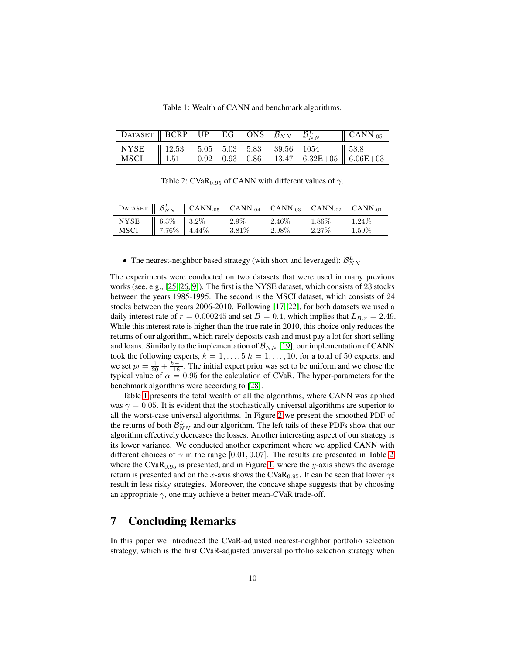Table 1: Wealth of CANN and benchmark algorithms.

<span id="page-9-1"></span><span id="page-9-0"></span>

|  |  |  | DATASET BCRP UP EG ONS $\mathcal{B}_{NN}$ $\mathcal{B}_{NN}^L$ (CANN.05) |  |
|--|--|--|--------------------------------------------------------------------------|--|
|  |  |  |                                                                          |  |
|  |  |  |                                                                          |  |

Table 2: CVaR<sub>0.95</sub> of CANN with different values of  $\gamma$ .

|                                    | DATASET $\mathcal{B}_{NN}^L$ CANN.05 CANN.04 CANN.03 CANN.02 CANN.01 |          |          |          |          |
|------------------------------------|----------------------------------------------------------------------|----------|----------|----------|----------|
| NYSE 6.3% 3.2%<br>MSCI 7.76% 4.44% |                                                                      | $2.9\%$  | $2.46\%$ | $1.86\%$ | $1.24\%$ |
|                                    |                                                                      | $3.81\%$ | $2.98\%$ | $2.27\%$ | $1.59\%$ |

### • The nearest-neighbor based strategy (with short and leveraged):  $\mathcal{B}_{NN}^L$

The experiments were conducted on two datasets that were used in many previous works (see, e.g., [\[25,](#page-12-7) [26,](#page-12-0) [9\]](#page-11-13)). The first is the NYSE dataset, which consists of 23 stocks between the years 1985-1995. The second is the MSCI dataset, which consists of 24 stocks between the years 2006-2010. Following [\[17,](#page-12-10) [22\]](#page-12-12), for both datasets we used a daily interest rate of  $r = 0.000245$  and set  $B = 0.4$ , which implies that  $L_{B,r} = 2.49$ . While this interest rate is higher than the true rate in 2010, this choice only reduces the returns of our algorithm, which rarely deposits cash and must pay a lot for short selling and loans. Similarly to the implementation of  $\mathcal{B}_{NN}$  [\[19\]](#page-12-3), our implementation of CANN took the following experts,  $k = 1, \ldots, 5$   $h = 1, \ldots, 10$ , for a total of 50 experts, and we set  $p_l = \frac{1}{20} + \frac{h-1}{18}$ . The initial expert prior was set to be uniform and we chose the typical value of  $\alpha = 0.95$  for the calculation of CVaR. The hyper-parameters for the benchmark algorithms were according to [\[28\]](#page-12-13).

Table [1](#page-9-0) presents the total wealth of all the algorithms, where CANN was applied was  $\gamma = 0.05$ . It is evident that the stochastically universal algorithms are superior to all the worst-case universal algorithms. In Figure [2](#page-10-0) we present the smoothed PDF of the returns of both  $\mathcal{B}_{NN}^L$  and our algorithm. The left tails of these PDFs show that our algorithm effectively decreases the losses. Another interesting aspect of our strategy is its lower variance. We conducted another experiment where we applied CANN with different choices of  $\gamma$  in the range [0.01, 0.07]. The results are presented in Table [2,](#page-9-1) where the  $CVaR<sub>0.95</sub>$  is presented, and in Figure [1,](#page-10-1) where the y-axis shows the average return is presented and on the x-axis shows the CVaR<sub>0.95</sub>. It can be seen that lower  $\gamma s$ result in less risky strategies. Moreover, the concave shape suggests that by choosing an appropriate  $\gamma$ , one may achieve a better mean-CVaR trade-off.

### 7 Concluding Remarks

In this paper we introduced the CVaR-adjusted nearest-neighbor portfolio selection strategy, which is the first CVaR-adjusted universal portfolio selection strategy when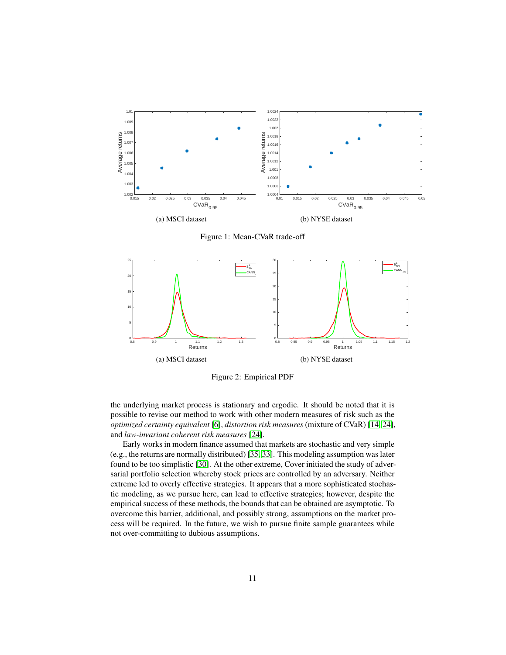<span id="page-10-1"></span>



<span id="page-10-0"></span>

Figure 2: Empirical PDF

the underlying market process is stationary and ergodic. It should be noted that it is possible to revise our method to work with other modern measures of risk such as the *optimized certainty equivalent* [\[6\]](#page-11-14), *distortion risk measures* (mixture of CVaR) [\[14,](#page-11-15) [24\]](#page-12-14), and *law-invariant coherent risk measures* [\[24\]](#page-12-14).

Early works in modern finance assumed that markets are stochastic and very simple (e.g., the returns are normally distributed) [\[35,](#page-13-5) [33\]](#page-13-6). This modeling assumption was later found to be too simplistic [\[30\]](#page-12-2). At the other extreme, Cover initiated the study of adversarial portfolio selection whereby stock prices are controlled by an adversary. Neither extreme led to overly effective strategies. It appears that a more sophisticated stochastic modeling, as we pursue here, can lead to effective strategies; however, despite the empirical success of these methods, the bounds that can be obtained are asymptotic. To overcome this barrier, additional, and possibly strong, assumptions on the market process will be required. In the future, we wish to pursue finite sample guarantees while not over-committing to dubious assumptions.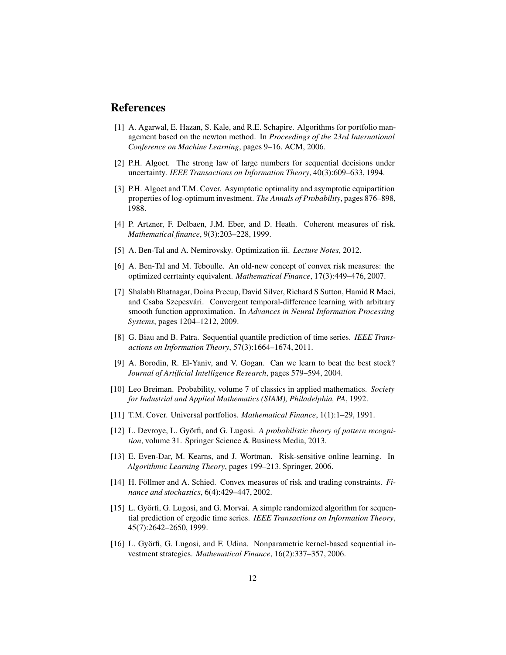### <span id="page-11-6"></span>References

- [1] A. Agarwal, E. Hazan, S. Kale, and R.E. Schapire. Algorithms for portfolio management based on the newton method. In *Proceedings of the 23rd International Conference on Machine Learning*, pages 9–16. ACM, 2006.
- <span id="page-11-10"></span><span id="page-11-2"></span>[2] P.H. Algoet. The strong law of large numbers for sequential decisions under uncertainty. *IEEE Transactions on Information Theory*, 40(3):609–633, 1994.
- [3] P.H. Algoet and T.M. Cover. Asymptotic optimality and asymptotic equipartition properties of log-optimum investment. *The Annals of Probability*, pages 876–898, 1988.
- <span id="page-11-11"></span><span id="page-11-8"></span>[4] P. Artzner, F. Delbaen, J.M. Eber, and D. Heath. Coherent measures of risk. *Mathematical finance*, 9(3):203–228, 1999.
- <span id="page-11-14"></span>[5] A. Ben-Tal and A. Nemirovsky. Optimization iii. *Lecture Notes*, 2012.
- <span id="page-11-7"></span>[6] A. Ben-Tal and M. Teboulle. An old-new concept of convex risk measures: the optimized cerrtainty equivalent. *Mathematical Finance*, 17(3):449–476, 2007.
- [7] Shalabh Bhatnagar, Doina Precup, David Silver, Richard S Sutton, Hamid R Maei, and Csaba Szepesvári. Convergent temporal-difference learning with arbitrary smooth function approximation. In *Advances in Neural Information Processing Systems*, pages 1204–1212, 2009.
- <span id="page-11-12"></span>[8] G. Biau and B. Patra. Sequential quantile prediction of time series. *IEEE Transactions on Information Theory*, 57(3):1664–1674, 2011.
- <span id="page-11-13"></span>[9] A. Borodin, R. El-Yaniv, and V. Gogan. Can we learn to beat the best stock? *Journal of Artificial Intelligence Research*, pages 579–594, 2004.
- <span id="page-11-9"></span>[10] Leo Breiman. Probability, volume 7 of classics in applied mathematics. *Society for Industrial and Applied Mathematics (SIAM), Philadelphia, PA*, 1992.
- <span id="page-11-4"></span><span id="page-11-0"></span>[11] T.M. Cover. Universal portfolios. *Mathematical Finance*, 1(1):1–29, 1991.
- [12] L. Devroye, L. Györfi, and G. Lugosi. *A probabilistic theory of pattern recognition*, volume 31. Springer Science & Business Media, 2013.
- <span id="page-11-1"></span>[13] E. Even-Dar, M. Kearns, and J. Wortman. Risk-sensitive online learning. In *Algorithmic Learning Theory*, pages 199–213. Springer, 2006.
- <span id="page-11-15"></span>[14] H. Föllmer and A. Schied. Convex measures of risk and trading constraints. *Finance and stochastics*, 6(4):429–447, 2002.
- <span id="page-11-5"></span>[15] L. Györfi, G. Lugosi, and G. Morvai. A simple randomized algorithm for sequential prediction of ergodic time series. *IEEE Transactions on Information Theory*, 45(7):2642–2650, 1999.
- <span id="page-11-3"></span>[16] L. Györfi, G. Lugosi, and F. Udina. Nonparametric kernel-based sequential investment strategies. *Mathematical Finance*, 16(2):337–357, 2006.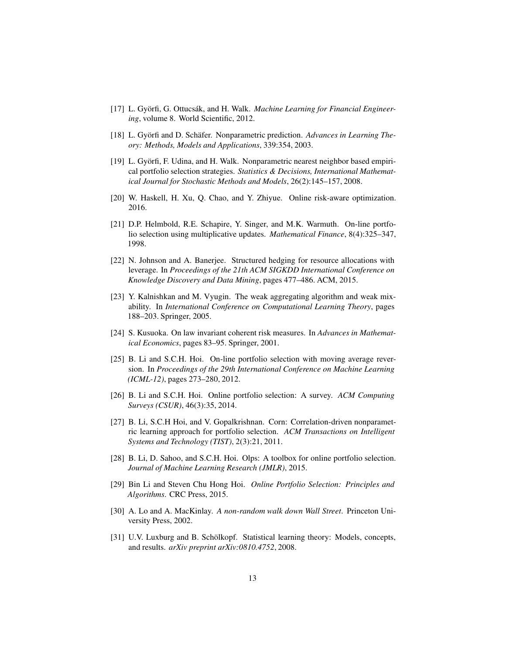- <span id="page-12-10"></span><span id="page-12-4"></span>[17] L. Györfi, G. Ottucsák, and H. Walk. *Machine Learning for Financial Engineering*, volume 8. World Scientific, 2012.
- <span id="page-12-3"></span>[18] L. Györfi and D. Schäfer. Nonparametric prediction. *Advances in Learning Theory: Methods, Models and Applications*, 339:354, 2003.
- [19] L. Györfi, F. Udina, and H. Walk. Nonparametric nearest neighbor based empirical portfolio selection strategies. *Statistics & Decisions, International Mathematical Journal for Stochastic Methods and Models*, 26(2):145–157, 2008.
- <span id="page-12-9"></span><span id="page-12-1"></span>[20] W. Haskell, H. Xu, Q. Chao, and Y. Zhiyue. Online risk-aware optimization. 2016.
- [21] D.P. Helmbold, R.E. Schapire, Y. Singer, and M.K. Warmuth. On-line portfolio selection using multiplicative updates. *Mathematical Finance*, 8(4):325–347, 1998.
- <span id="page-12-12"></span>[22] N. Johnson and A. Banerjee. Structured hedging for resource allocations with leverage. In *Proceedings of the 21th ACM SIGKDD International Conference on Knowledge Discovery and Data Mining*, pages 477–486. ACM, 2015.
- <span id="page-12-11"></span>[23] Y. Kalnishkan and M. Vyugin. The weak aggregating algorithm and weak mixability. In *International Conference on Computational Learning Theory*, pages 188–203. Springer, 2005.
- <span id="page-12-14"></span>[24] S. Kusuoka. On law invariant coherent risk measures. In *Advances in Mathematical Economics*, pages 83–95. Springer, 2001.
- <span id="page-12-7"></span>[25] B. Li and S.C.H. Hoi. On-line portfolio selection with moving average reversion. In *Proceedings of the 29th International Conference on Machine Learning (ICML-12)*, pages 273–280, 2012.
- <span id="page-12-0"></span>[26] B. Li and S.C.H. Hoi. Online portfolio selection: A survey. *ACM Computing Surveys (CSUR)*, 46(3):35, 2014.
- <span id="page-12-5"></span>[27] B. Li, S.C.H Hoi, and V. Gopalkrishnan. Corn: Correlation-driven nonparametric learning approach for portfolio selection. *ACM Transactions on Intelligent Systems and Technology (TIST)*, 2(3):21, 2011.
- <span id="page-12-13"></span>[28] B. Li, D. Sahoo, and S.C.H. Hoi. Olps: A toolbox for online portfolio selection. *Journal of Machine Learning Research (JMLR)*, 2015.
- <span id="page-12-8"></span>[29] Bin Li and Steven Chu Hong Hoi. *Online Portfolio Selection: Principles and Algorithms*. CRC Press, 2015.
- <span id="page-12-2"></span>[30] A. Lo and A. MacKinlay. *A non-random walk down Wall Street*. Princeton University Press, 2002.
- <span id="page-12-6"></span>[31] U.V. Luxburg and B. Schölkopf. Statistical learning theory: Models, concepts, and results. *arXiv preprint arXiv:0810.4752*, 2008.